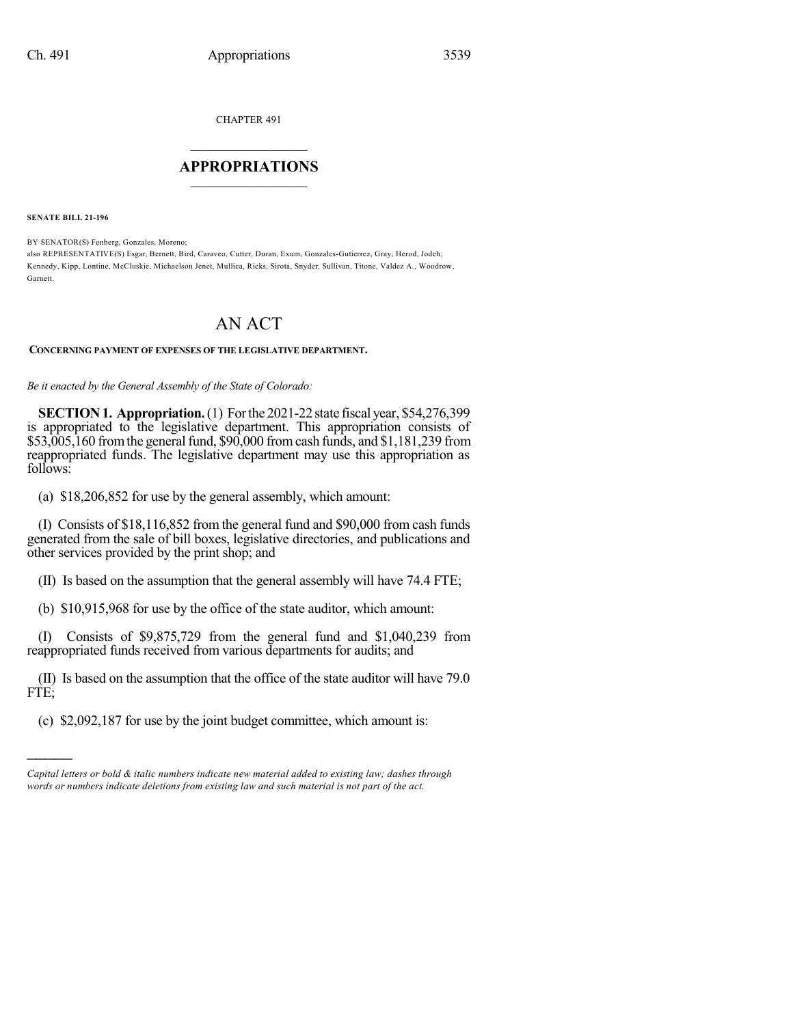CHAPTER 491

## $\overline{\phantom{a}}$  . The set of the set of the set of the set of the set of the set of the set of the set of the set of the set of the set of the set of the set of the set of the set of the set of the set of the set of the set o **APPROPRIATIONS**  $\_$   $\_$   $\_$   $\_$   $\_$   $\_$   $\_$   $\_$

**SENATE BILL 21-196**

)))))

BY SENATOR(S) Fenberg, Gonzales, Moreno;

also REPRESENTATIVE(S) Esgar, Bernett, Bird, Caraveo, Cutter, Duran, Exum, Gonzales-Gutierrez, Gray, Herod, Jodeh, Kennedy, Kipp, Lontine, McCluskie, Michaelson Jenet, Mullica, Ricks, Sirota, Snyder, Sullivan, Titone, Valdez A., Woodrow, Garnett.

## AN ACT

## **CONCERNING PAYMENT OF EXPENSES OF THE LEGISLATIVE DEPARTMENT.**

*Be it enacted by the General Assembly of the State of Colorado:*

**SECTION1. Appropriation.**(1) Forthe 2021-22 state fiscal year, \$54,276,399 is appropriated to the legislative department. This appropriation consists of \$53,005,160 from the general fund, \$90,000 from cash funds, and \$1,181,239 from reappropriated funds. The legislative department may use this appropriation as follows:

(a) \$18,206,852 for use by the general assembly, which amount:

(I) Consists of \$18,116,852 from the general fund and \$90,000 from cash funds generated from the sale of bill boxes, legislative directories, and publications and other services provided by the print shop; and

(II) Is based on the assumption that the general assembly will have 74.4 FTE;

(b) \$10,915,968 for use by the office of the state auditor, which amount:

(I) Consists of \$9,875,729 from the general fund and \$1,040,239 from reappropriated funds received from various departments for audits; and

(II) Is based on the assumption that the office of the state auditor will have 79.0 FTE;

(c) \$2,092,187 for use by the joint budget committee, which amount is:

*Capital letters or bold & italic numbers indicate new material added to existing law; dashes through words or numbers indicate deletions from existing law and such material is not part of the act.*